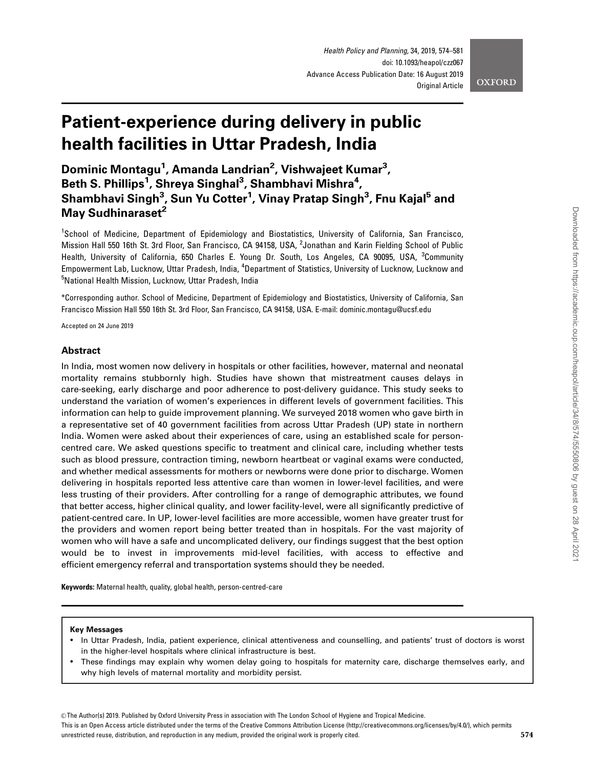# Patient-experience during delivery in public health facilities in Uttar Pradesh, India

Dominic Montagu<sup>1</sup>, Amanda Landrian<sup>2</sup>, Vishwajeet Kumar<sup>3</sup>, Beth S. Phillips<sup>1</sup>, Shreya Singhal<sup>3</sup>, Shambhavi Mishra<sup>4</sup>, Shambhavi Singh<sup>3</sup>, Sun Yu Cotter<sup>1</sup>, Vinay Pratap Singh<sup>3</sup>, Fnu Kajal<sup>5</sup> and May Sudhinaraset<sup>2</sup>

<sup>1</sup>School of Medicine, Department of Epidemiology and Biostatistics, University of California, San Francisco, Mission Hall 550 16th St. 3rd Floor, San Francisco, CA 94158, USA, <sup>2</sup>Jonathan and Karin Fielding School of Public Health, University of California, 650 Charles E. Young Dr. South, Los Angeles, CA 90095, USA, <sup>3</sup>Community Empowerment Lab, Lucknow, Uttar Pradesh, India, <sup>4</sup>Department of Statistics, University of Lucknow, Lucknow and <sup>5</sup>National Health Mission, Lucknow, Uttar Pradesh, India

\*Corresponding author. School of Medicine, Department of Epidemiology and Biostatistics, University of California, San Francisco Mission Hall 550 16th St. 3rd Floor, San Francisco, CA 94158, USA. E-mail: dominic.montagu@ucsf.edu

Accepted on 24 June 2019

# Abstract

In India, most women now delivery in hospitals or other facilities, however, maternal and neonatal mortality remains stubbornly high. Studies have shown that mistreatment causes delays in care-seeking, early discharge and poor adherence to post-delivery guidance. This study seeks to understand the variation of women's experiences in different levels of government facilities. This information can help to guide improvement planning. We surveyed 2018 women who gave birth in a representative set of 40 government facilities from across Uttar Pradesh (UP) state in northern India. Women were asked about their experiences of care, using an established scale for personcentred care. We asked questions specific to treatment and clinical care, including whether tests such as blood pressure, contraction timing, newborn heartbeat or vaginal exams were conducted, and whether medical assessments for mothers or newborns were done prior to discharge. Women delivering in hospitals reported less attentive care than women in lower-level facilities, and were less trusting of their providers. After controlling for a range of demographic attributes, we found that better access, higher clinical quality, and lower facility-level, were all significantly predictive of patient-centred care. In UP, lower-level facilities are more accessible, women have greater trust for the providers and women report being better treated than in hospitals. For the vast majority of women who will have a safe and uncomplicated delivery, our findings suggest that the best option would be to invest in improvements mid-level facilities, with access to effective and efficient emergency referral and transportation systems should they be needed.

Keywords: Maternal health, quality, global health, person-centred-care

## Key Messages

- In Uttar Pradesh, India, patient experience, clinical attentiveness and counselling, and patients' trust of doctors is worst in the higher-level hospitals where clinical infrastructure is best.
- These findings may explain why women delay going to hospitals for maternity care, discharge themselves early, and why high levels of maternal mortality and morbidity persist.

This is an Open Access article distributed under the terms of the Creative Commons Attribution License (http://creativecommons.org/licenses/by/4.0/), which permits unrestricted reuse, distribution, and reproduction in any medium, provided the original work is properly cited.  $574$ 

<sup>©</sup> The Author(s) 2019. Published by Oxford University Press in association with The London School of Hygiene and Tropical Medicine.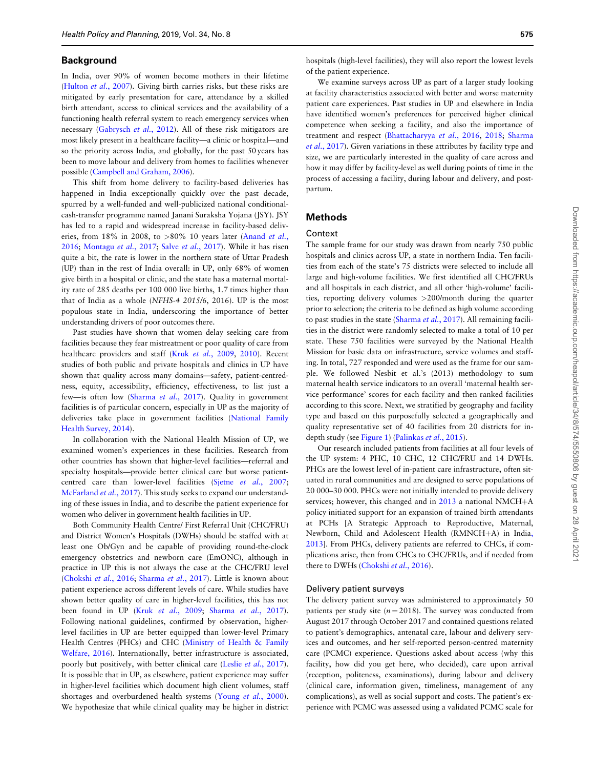### **Background**

In India, over 90% of women become mothers in their lifetime ([Hulton](#page-6-0) et al., 2007). Giving birth carries risks, but these risks are mitigated by early presentation for care, attendance by a skilled birth attendant, access to clinical services and the availability of a functioning health referral system to reach emergency services when necessary [\(Gabrysch](#page-6-0) et al., 2012). All of these risk mitigators are most likely present in a healthcare facility—a clinic or hospital—and so the priority across India, and globally, for the past 50 years has been to move labour and delivery from homes to facilities whenever possible [\(Campbell and Graham, 2006](#page-6-0)).

This shift from home delivery to facility-based deliveries has happened in India exceptionally quickly over the past decade, spurred by a well-funded and well-publicized national conditionalcash-transfer programme named Janani Suraksha Yojana (JSY). JSY has led to a rapid and widespread increase in facility-based deliv-eries, from 18% in 2008, to >80% 10 years later [\(Anand](#page-6-0) et al., [2016;](#page-6-0) [Montagu](#page-7-0) et al., 2017; Salve et al.[, 2017](#page-7-0)). While it has risen quite a bit, the rate is lower in the northern state of Uttar Pradesh (UP) than in the rest of India overall: in UP, only 68% of women give birth in a hospital or clinic, and the state has a maternal mortality rate of 285 deaths per 100 000 live births, 1.7 times higher than that of India as a whole (NFHS-4 2015/6, 2016). UP is the most populous state in India, underscoring the importance of better understanding drivers of poor outcomes there.

Past studies have shown that women delay seeking care from facilities because they fear mistreatment or poor quality of care from healthcare providers and staff (Kruk et al.[, 2009](#page-6-0), [2010\)](#page-6-0). Recent studies of both public and private hospitals and clinics in UP have shown that quality across many domains—safety, patient-centredness, equity, accessibility, efficiency, effectiveness, to list just a few-is often low [\(Sharma](#page-7-0) et al., 2017). Quality in government facilities is of particular concern, especially in UP as the majority of deliveries take place in government facilities ([National Family](#page-7-0) [Health Survey, 2014\)](#page-7-0).

In collaboration with the National Health Mission of UP, we examined women's experiences in these facilities. Research from other countries has shown that higher-level facilities—referral and specialty hospitals—provide better clinical care but worse patientcentred care than lower-level facilities (Sjetne et al.[, 2007;](#page-7-0) [McFarland](#page-7-0) et al., 2017). This study seeks to expand our understanding of these issues in India, and to describe the patient experience for women who deliver in government health facilities in UP.

Both Community Health Centre/ First Referral Unit (CHC/FRU) and District Women's Hospitals (DWHs) should be staffed with at least one Ob/Gyn and be capable of providing round-the-clock emergency obstetrics and newborn care (EmONC), although in practice in UP this is not always the case at the CHC/FRU level ([Chokshi](#page-6-0) et al., 2016; [Sharma](#page-7-0) et al., 2017). Little is known about patient experience across different levels of care. While studies have shown better quality of care in higher-level facilities, this has not been found in UP (Kruk et al.[, 2009](#page-6-0); [Sharma](#page-7-0) et al., 2017). Following national guidelines, confirmed by observation, higherlevel facilities in UP are better equipped than lower-level Primary Health Centres (PHCs) and CHC ([Ministry of Health](#page-7-0) & [Family](#page-7-0) [Welfare, 2016](#page-7-0)). Internationally, better infrastructure is associated, poorly but positively, with better clinical care (Leslie et al.[, 2017](#page-7-0)). It is possible that in UP, as elsewhere, patient experience may suffer in higher-level facilities which document high client volumes, staff shortages and overburdened health systems (Young *et al.*[, 2000](#page-7-0)). We hypothesize that while clinical quality may be higher in district

hospitals (high-level facilities), they will also report the lowest levels of the patient experience.

We examine surveys across UP as part of a larger study looking at facility characteristics associated with better and worse maternity patient care experiences. Past studies in UP and elsewhere in India have identified women's preferences for perceived higher clinical competence when seeking a facility, and also the importance of treatment and respect ([Bhattacharyya](#page-6-0) et al., 2016, [2018](#page-6-0); [Sharma](#page-7-0) et al.[, 2017](#page-7-0)). Given variations in these attributes by facility type and size, we are particularly interested in the quality of care across and how it may differ by facility-level as well during points of time in the process of accessing a facility, during labour and delivery, and postpartum.

# Methods

## Context

The sample frame for our study was drawn from nearly 750 public hospitals and clinics across UP, a state in northern India. Ten facilities from each of the state's 75 districts were selected to include all large and high-volume facilities. We first identified all CHC/FRUs and all hospitals in each district, and all other 'high-volume' facilities, reporting delivery volumes >200/month during the quarter prior to selection; the criteria to be defined as high volume according to past studies in the state [\(Sharma](#page-7-0) et al., 2017). All remaining facilities in the district were randomly selected to make a total of 10 per state. These 750 facilities were surveyed by the National Health Mission for basic data on infrastructure, service volumes and staffing. In total, 727 responded and were used as the frame for our sample. We followed Nesbit et al.'s (2013) methodology to sum maternal health service indicators to an overall 'maternal health service performance' scores for each facility and then ranked facilities according to this score. Next, we stratified by geography and facility type and based on this purposefully selected a geographically and quality representative set of 40 facilities from 20 districts for indepth study (see [Figure 1](#page-2-0)) [\(Palinkas](#page-7-0) et al., 2015).

Our research included patients from facilities at all four levels of the UP system: 4 PHC, 10 CHC, 12 CHC/FRU and 14 DWHs. PHCs are the lowest level of in-patient care infrastructure, often situated in rural communities and are designed to serve populations of 20 000–30 000. PHCs were not initially intended to provide delivery services; however, this changed and in  $2013$  a national NMCH+A policy initiated support for an expansion of trained birth attendants at PCHs [A Strategic Approach to Reproductive, Maternal, Newborn[,](#page-6-0) Child and Adolescent Health (RMNCH+A) in India, [2013\]](#page-6-0). From PHCs, delivery patients are referred to CHCs, if complications arise, then from CHCs to CHC/FRUs, and if needed from there to DWHs [\(Chokshi](#page-6-0) et al., 2016).

## Delivery patient surveys

The delivery patient survey was administered to approximately 50 patients per study site ( $n = 2018$ ). The survey was conducted from August 2017 through October 2017 and contained questions related to patient's demographics, antenatal care, labour and delivery services and outcomes, and her self-reported person-centred maternity care (PCMC) experience. Questions asked about access (why this facility, how did you get here, who decided), care upon arrival (reception, politeness, examinations), during labour and delivery (clinical care, information given, timeliness, management of any complications), as well as social support and costs. The patient's experience with PCMC was assessed using a validated PCMC scale for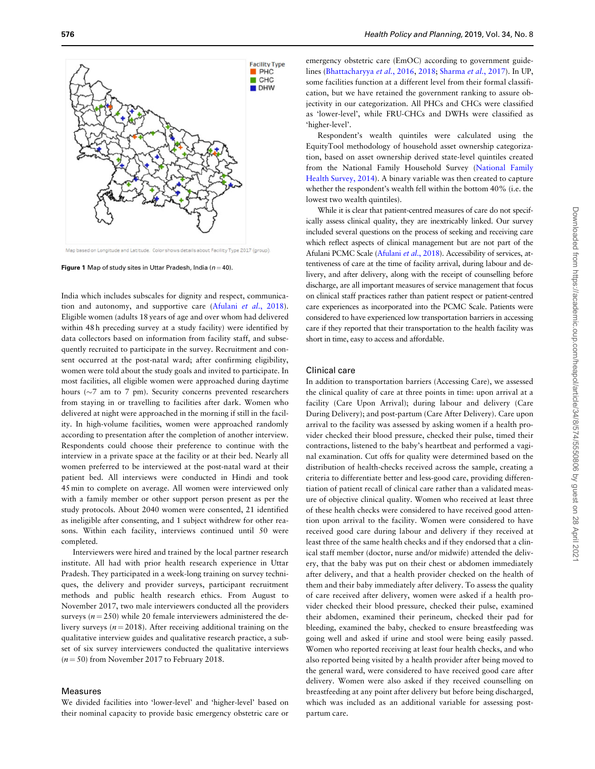<span id="page-2-0"></span>

Map based on Longitude and Latitude. Color shows details about Facility Type 2017 (group)

**Figure 1** Map of study sites in Uttar Pradesh, India ( $n = 40$ ).

India which includes subscales for dignity and respect, communica-tion and autonomy, and supportive care (Afulani et al[., 2018](#page-6-0)). Eligible women (adults 18 years of age and over whom had delivered within 48 h preceding survey at a study facility) were identified by data collectors based on information from facility staff, and subsequently recruited to participate in the survey. Recruitment and consent occurred at the post-natal ward; after confirming eligibility, women were told about the study goals and invited to participate. In most facilities, all eligible women were approached during daytime hours ( $\sim$ 7 am to 7 pm). Security concerns prevented researchers from staying in or travelling to facilities after dark. Women who delivered at night were approached in the morning if still in the facility. In high-volume facilities, women were approached randomly according to presentation after the completion of another interview. Respondents could choose their preference to continue with the interview in a private space at the facility or at their bed. Nearly all women preferred to be interviewed at the post-natal ward at their patient bed. All interviews were conducted in Hindi and took 45 min to complete on average. All women were interviewed only with a family member or other support person present as per the study protocols. About 2040 women were consented, 21 identified as ineligible after consenting, and 1 subject withdrew for other reasons. Within each facility, interviews continued until 50 were completed.

Interviewers were hired and trained by the local partner research institute. All had with prior health research experience in Uttar Pradesh. They participated in a week-long training on survey techniques, the delivery and provider surveys, participant recruitment methods and public health research ethics. From August to November 2017, two male interviewers conducted all the providers surveys ( $n = 250$ ) while 20 female interviewers administered the delivery surveys ( $n = 2018$ ). After receiving additional training on the qualitative interview guides and qualitative research practice, a subset of six survey interviewers conducted the qualitative interviews  $(n = 50)$  from November 2017 to February 2018.

## Measures

We divided facilities into 'lower-level' and 'higher-level' based on their nominal capacity to provide basic emergency obstetric care or

emergency obstetric care (EmOC) according to government guidelines ([Bhattacharyya](#page-6-0) et al., 2016, [2018](#page-6-0); [Sharma](#page-7-0) et al., 2017). In UP, some facilities function at a different level from their formal classification, but we have retained the government ranking to assure objectivity in our categorization. All PHCs and CHCs were classified as 'lower-level', while FRU-CHCs and DWHs were classified as 'higher-level'.

Respondent's wealth quintiles were calculated using the EquityTool methodology of household asset ownership categorization, based on asset ownership derived state-level quintiles created from the National Family Household Survey [\(National Family](#page-7-0) [Health Survey, 2014\)](#page-7-0). A binary variable was then created to capture whether the respondent's wealth fell within the bottom 40% (i.e. the lowest two wealth quintiles).

While it is clear that patient-centred measures of care do not specifically assess clinical quality, they are inextricably linked. Our survey included several questions on the process of seeking and receiving care which reflect aspects of clinical management but are not part of the [Afulani](#page-6-0) PCMC Scale (Afulani et al., 2018). Accessibility of services, attentiveness of care at the time of facility arrival, during labour and delivery, and after delivery, along with the receipt of counselling before discharge, are all important measures of service management that focus on clinical staff practices rather than patient respect or patient-centred care experiences as incorporated into the PCMC Scale. Patients were considered to have experienced low transportation barriers in accessing care if they reported that their transportation to the health facility was short in time, easy to access and affordable.

# Clinical care

In addition to transportation barriers (Accessing Care), we assessed the clinical quality of care at three points in time: upon arrival at a facility (Care Upon Arrival); during labour and delivery (Care During Delivery); and post-partum (Care After Delivery). Care upon arrival to the facility was assessed by asking women if a health provider checked their blood pressure, checked their pulse, timed their contractions, listened to the baby's heartbeat and performed a vaginal examination. Cut offs for quality were determined based on the distribution of health-checks received across the sample, creating a criteria to differentiate better and less-good care, providing differentiation of patient recall of clinical care rather than a validated measure of objective clinical quality. Women who received at least three of these health checks were considered to have received good attention upon arrival to the facility. Women were considered to have received good care during labour and delivery if they received at least three of the same health checks and if they endorsed that a clinical staff member (doctor, nurse and/or midwife) attended the delivery, that the baby was put on their chest or abdomen immediately after delivery, and that a health provider checked on the health of them and their baby immediately after delivery. To assess the quality of care received after delivery, women were asked if a health provider checked their blood pressure, checked their pulse, examined their abdomen, examined their perineum, checked their pad for bleeding, examined the baby, checked to ensure breastfeeding was going well and asked if urine and stool were being easily passed. Women who reported receiving at least four health checks, and who also reported being visited by a health provider after being moved to the general ward, were considered to have received good care after delivery. Women were also asked if they received counselling on breastfeeding at any point after delivery but before being discharged, which was included as an additional variable for assessing postpartum care.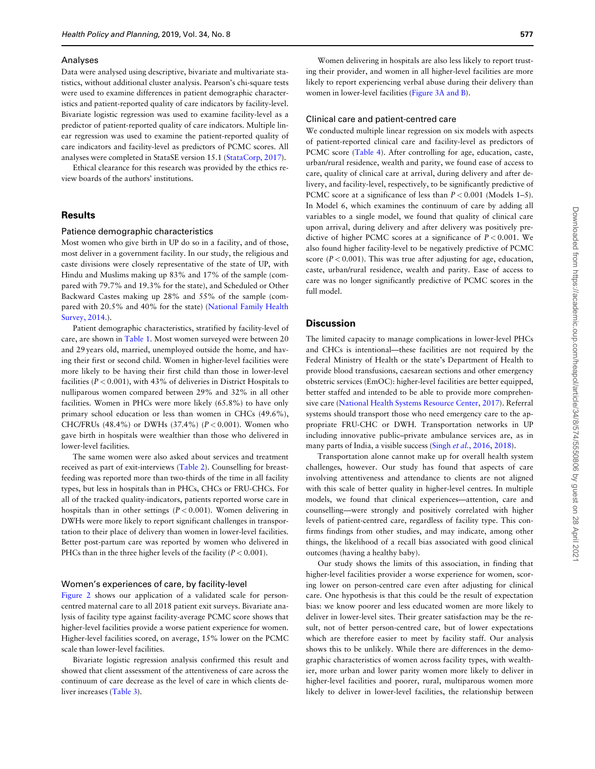#### Analyses

Data were analysed using descriptive, bivariate and multivariate statistics, without additional cluster analysis. Pearson's chi-square tests were used to examine differences in patient demographic characteristics and patient-reported quality of care indicators by facility-level. Bivariate logistic regression was used to examine facility-level as a predictor of patient-reported quality of care indicators. Multiple linear regression was used to examine the patient-reported quality of care indicators and facility-level as predictors of PCMC scores. All analyses were completed in StataSE version 15.1 [\(StataCorp, 2017\)](#page-7-0).

Ethical clearance for this research was provided by the ethics review boards of the authors' institutions.

## **Results**

## Patience demographic characteristics

Most women who give birth in UP do so in a facility, and of those, most deliver in a government facility. In our study, the religious and caste divisions were closely representative of the state of UP, with Hindu and Muslims making up 83% and 17% of the sample (compared with 79.7% and 19.3% for the state), and Scheduled or Other Backward Castes making up 28% and 55% of the sample (compared with 20.5% and 40% for the state) [\(National Family Health](#page-7-0) [Survey, 2014.](#page-7-0)).

Patient demographic characteristics, stratified by facility-level of care, are shown in [Table 1](#page-4-0). Most women surveyed were between 20 and 29 years old, married, unemployed outside the home, and having their first or second child. Women in higher-level facilities were more likely to be having their first child than those in lower-level facilities ( $P < 0.001$ ), with 43% of deliveries in District Hospitals to nulliparous women compared between 29% and 32% in all other facilities. Women in PHCs were more likely (65.8%) to have only primary school education or less than women in CHCs (49.6%), CHC/FRUs (48.4%) or DWHs (37.4%) ( $P < 0.001$ ). Women who gave birth in hospitals were wealthier than those who delivered in lower-level facilities.

The same women were also asked about services and treatment received as part of exit-interviews ([Table 2\)](#page-5-0). Counselling for breastfeeding was reported more than two-thirds of the time in all facility types, but less in hospitals than in PHCs, CHCs or FRU-CHCs. For all of the tracked quality-indicators, patients reported worse care in hospitals than in other settings  $(P < 0.001)$ . Women delivering in DWHs were more likely to report significant challenges in transportation to their place of delivery than women in lower-level facilities. Better post-partum care was reported by women who delivered in PHCs than in the three higher levels of the facility ( $P < 0.001$ ).

## Women's experiences of care, by facility-level

[Figure 2](#page-5-0) shows our application of a validated scale for personcentred maternal care to all 2018 patient exit surveys. Bivariate analysis of facility type against facility-average PCMC score shows that higher-level facilities provide a worse patient experience for women. Higher-level facilities scored, on average, 15% lower on the PCMC scale than lower-level facilities.

Bivariate logistic regression analysis confirmed this result and showed that client assessment of the attentiveness of care across the continuum of care decrease as the level of care in which clients deliver increases [\(Table 3](#page-5-0)).

Women delivering in hospitals are also less likely to report trusting their provider, and women in all higher-level facilities are more likely to report experiencing verbal abuse during their delivery than women in lower-level facilities [\(Figure 3A and B\)](#page-6-0).

#### Clinical care and patient-centred care

We conducted multiple linear regression on six models with aspects of patient-reported clinical care and facility-level as predictors of PCMC score [\(Table 4](#page-6-0)). After controlling for age, education, caste, urban/rural residence, wealth and parity, we found ease of access to care, quality of clinical care at arrival, during delivery and after delivery, and facility-level, respectively, to be significantly predictive of PCMC score at a significance of less than  $P < 0.001$  (Models 1–5). In Model 6, which examines the continuum of care by adding all variables to a single model, we found that quality of clinical care upon arrival, during delivery and after delivery was positively predictive of higher PCMC scores at a significance of  $P < 0.001$ . We also found higher facility-level to be negatively predictive of PCMC score ( $P < 0.001$ ). This was true after adjusting for age, education, caste, urban/rural residence, wealth and parity. Ease of access to care was no longer significantly predictive of PCMC scores in the full model.

# **Discussion**

The limited capacity to manage complications in lower-level PHCs and CHCs is intentional—these facilities are not required by the Federal Ministry of Health or the state's Department of Health to provide blood transfusions, caesarean sections and other emergency obstetric services (EmOC): higher-level facilities are better equipped, better staffed and intended to be able to provide more comprehensive care ([National Health Systems Resource Center, 2017](#page-7-0)). Referral systems should transport those who need emergency care to the appropriate FRU-CHC or DWH. Transportation networks in UP including innovative public–private ambulance services are, as in many parts of India, a visible success (Singh et al.[, 2016,](#page-7-0) [2018\)](#page-7-0).

Transportation alone cannot make up for overall health system challenges, however. Our study has found that aspects of care involving attentiveness and attendance to clients are not aligned with this scale of better quality in higher-level centres. In multiple models, we found that clinical experiences—attention, care and counselling—were strongly and positively correlated with higher levels of patient-centred care, regardless of facility type. This confirms findings from other studies, and may indicate, among other things, the likelihood of a recall bias associated with good clinical outcomes (having a healthy baby).

Our study shows the limits of this association, in finding that higher-level facilities provider a worse experience for women, scoring lower on person-centred care even after adjusting for clinical care. One hypothesis is that this could be the result of expectation bias: we know poorer and less educated women are more likely to deliver in lower-level sites. Their greater satisfaction may be the result, not of better person-centred care, but of lower expectations which are therefore easier to meet by facility staff. Our analysis shows this to be unlikely. While there are differences in the demographic characteristics of women across facility types, with wealthier, more urban and lower parity women more likely to deliver in higher-level facilities and poorer, rural, multiparous women more likely to deliver in lower-level facilities, the relationship between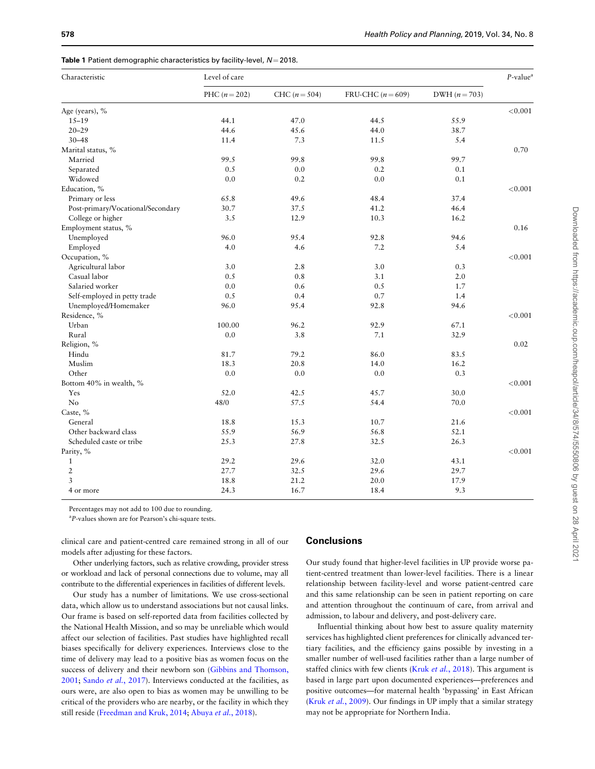<span id="page-4-0"></span>

|  |  |  | Table 1 Patient demographic characteristics by facility-level, $N = 2018$ . |  |  |  |
|--|--|--|-----------------------------------------------------------------------------|--|--|--|
|--|--|--|-----------------------------------------------------------------------------|--|--|--|

| Characteristic                    | Level of care   |                 |                   |                 |         |
|-----------------------------------|-----------------|-----------------|-------------------|-----------------|---------|
|                                   | PHC $(n = 202)$ | CHC $(n = 504)$ | FRU-CHC $(n=609)$ | DWH $(n = 703)$ |         |
| Age (years), %                    |                 |                 |                   |                 | < 0.001 |
| $15 - 19$                         | 44.1            | 47.0            | 44.5              | 55.9            |         |
| $20 - 29$                         | 44.6            | 45.6            | 44.0              | 38.7            |         |
| $30 - 48$                         | 11.4            | 7.3             | 11.5              | 5.4             |         |
| Marital status, %                 |                 |                 |                   |                 | 0.70    |
| Married                           | 99.5            | 99.8            | 99.8              | 99.7            |         |
| Separated                         | 0.5             | 0.0             | 0.2               | 0.1             |         |
| Widowed                           | 0.0             | 0.2             | 0.0               | 0.1             |         |
| Education, %                      |                 |                 |                   |                 | < 0.001 |
| Primary or less                   | 65.8            | 49.6            | 48.4              | 37.4            |         |
| Post-primary/Vocational/Secondary | 30.7            | 37.5            | 41.2              | 46.4            |         |
| College or higher                 | 3.5             | 12.9            | 10.3              | 16.2            |         |
| Employment status, %              |                 |                 |                   |                 | 0.16    |
| Unemployed                        | 96.0            | 95.4            | 92.8              | 94.6            |         |
| Employed                          | 4.0             | 4.6             | 7.2               | 5.4             |         |
| Occupation, %                     |                 |                 |                   |                 | < 0.001 |
| Agricultural labor                | 3.0             | 2.8             | 3.0               | 0.3             |         |
| Casual labor                      | 0.5             | 0.8             | 3.1               | $2.0\,$         |         |
| Salaried worker                   | 0.0             | 0.6             | 0.5               | 1.7             |         |
| Self-employed in petty trade      | 0.5             | 0.4             | 0.7               | 1.4             |         |
| Unemployed/Homemaker              | 96.0            | 95.4            | 92.8              | 94.6            |         |
| Residence, %                      |                 |                 |                   |                 | < 0.001 |
| Urban                             | 100.00          | 96.2            | 92.9              | 67.1            |         |
| Rural                             | 0.0             | 3.8             | 7.1               | 32.9            |         |
| Religion, %                       |                 |                 |                   |                 | 0.02    |
| Hindu                             | 81.7            | 79.2            | 86.0              | 83.5            |         |
| Muslim                            | 18.3            | 20.8            | 14.0              | 16.2            |         |
| Other                             | 0.0             | 0.0             | 0.0               | 0.3             |         |
| Bottom 40% in wealth, %           |                 |                 |                   |                 | < 0.001 |
| Yes                               | 52.0            | 42.5            | 45.7              | 30.0            |         |
| N <sub>o</sub>                    | 48/0            | 57.5            | 54.4              | 70.0            |         |
| Caste, %                          |                 |                 |                   |                 | < 0.001 |
| General                           | 18.8            | 15.3            | 10.7              | 21.6            |         |
| Other backward class              | 55.9            | 56.9            | 56.8              | 52.1            |         |
| Scheduled caste or tribe          | 25.3            | 27.8            | 32.5              | 26.3            |         |
| Parity, %                         |                 |                 |                   |                 | < 0.001 |
| $\mathbf{1}$                      | 29.2            | 29.6            | 32.0              | 43.1            |         |
| $\overline{2}$                    | 27.7            | 32.5            | 29.6              | 29.7            |         |
| $\overline{3}$                    | 18.8            | 21.2            | 20.0              | 17.9            |         |
| 4 or more                         | 24.3            | 16.7            | 18.4              | 9.3             |         |

Percentages may not add to 100 due to rounding.

<sup>a</sup>P-values shown are for Pearson's chi-square tests.

clinical care and patient-centred care remained strong in all of our models after adjusting for these factors.

Other underlying factors, such as relative crowding, provider stress or workload and lack of personal connections due to volume, may all contribute to the differential experiences in facilities of different levels.

Our study has a number of limitations. We use cross-sectional data, which allow us to understand associations but not causal links. Our frame is based on self-reported data from facilities collected by the National Health Mission, and so may be unreliable which would affect our selection of facilities. Past studies have highlighted recall biases specifically for delivery experiences. Interviews close to the time of delivery may lead to a positive bias as women focus on the success of delivery and their newborn son [\(Gibbins and Thomson,](#page-6-0) [2001;](#page-6-0) Sando et al.[, 2017\)](#page-7-0). Interviews conducted at the facilities, as ours were, are also open to bias as women may be unwilling to be critical of the providers who are nearby, or the facility in which they still reside [\(Freedman and Kruk, 2014;](#page-6-0) [Abuya](#page-6-0) et al., 2018).

# **Conclusions**

Our study found that higher-level facilities in UP provide worse patient-centred treatment than lower-level facilities. There is a linear relationship between facility-level and worse patient-centred care and this same relationship can be seen in patient reporting on care and attention throughout the continuum of care, from arrival and admission, to labour and delivery, and post-delivery care.

Influential thinking about how best to assure quality maternity services has highlighted client preferences for clinically advanced tertiary facilities, and the efficiency gains possible by investing in a smaller number of well-used facilities rather than a large number of staffed clinics with few clients (Kruk et al.[, 2018\)](#page-6-0). This argument is based in large part upon documented experiences—preferences and positive outcomes—for maternal health 'bypassing' in East African (Kruk et al.[, 2009](#page-6-0)). Our findings in UP imply that a similar strategy may not be appropriate for Northern India.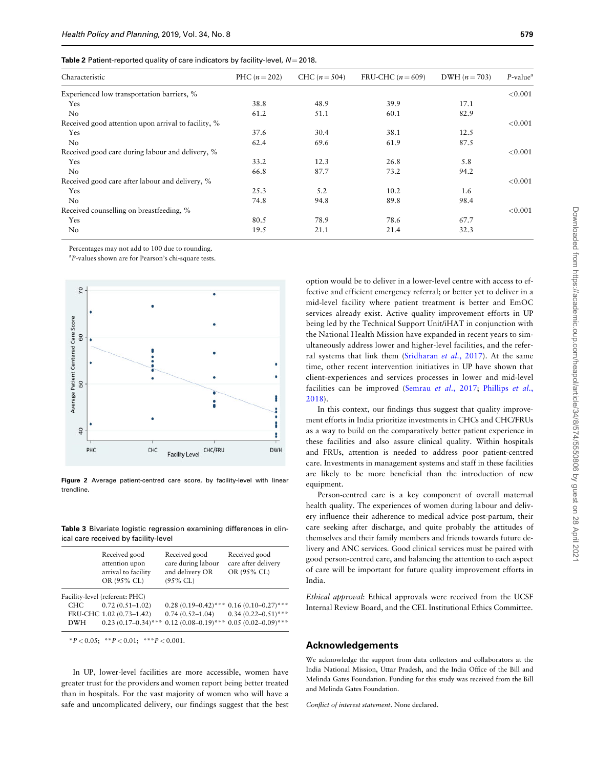<span id="page-5-0"></span>

| Table 2 Patient-reported quality of care indicators by facility-level, $N = 2018$ . |  |  |
|-------------------------------------------------------------------------------------|--|--|
|-------------------------------------------------------------------------------------|--|--|

| Characteristic                                      | PHC $(n = 202)$ | CHC $(n = 504)$ | FRU-CHC $(n=609)$ | DWH $(n = 703)$ | $P$ -value <sup>a</sup> |
|-----------------------------------------------------|-----------------|-----------------|-------------------|-----------------|-------------------------|
| Experienced low transportation barriers, %          |                 |                 |                   |                 | < 0.001                 |
| <b>Yes</b>                                          | 38.8            | 48.9            | 39.9              | 17.1            |                         |
| No                                                  | 61.2            | 51.1            | 60.1              | 82.9            |                         |
| Received good attention upon arrival to facility, % |                 |                 |                   |                 | < 0.001                 |
| Yes                                                 | 37.6            | 30.4            | 38.1              | 12.5            |                         |
| No                                                  | 62.4            | 69.6            | 61.9              | 87.5            |                         |
| Received good care during labour and delivery, %    |                 |                 |                   |                 | < 0.001                 |
| Yes                                                 | 33.2            | 12.3            | 26.8              | 5.8             |                         |
| No                                                  | 66.8            | 87.7            | 73.2              | 94.2            |                         |
| Received good care after labour and delivery, %     |                 |                 |                   |                 | < 0.001                 |
| Yes                                                 | 25.3            | 5.2             | 10.2              | 1.6             |                         |
| No                                                  | 74.8            | 94.8            | 89.8              | 98.4            |                         |
| Received counselling on breastfeeding, %            |                 |                 |                   |                 | < 0.001                 |
| Yes                                                 | 80.5            | 78.9            | 78.6              | 67.7            |                         |
| No                                                  | 19.5            | 21.1            | 21.4              | 32.3            |                         |

Percentages may not add to 100 due to rounding.

<sup>a</sup>P-values shown are for Pearson's chi-square tests.



Figure 2 Average patient-centred care score, by facility-level with linear trendline.

Table 3 Bivariate logistic regression examining differences in clinical care received by facility-level

|            | Received good<br>attention upon<br>arrival to facility<br>OR (95% CL) | Received good<br>care during labour<br>and delivery OR<br>$(95\%$ CL) | Received good<br>care after delivery<br>OR (95% CL) |
|------------|-----------------------------------------------------------------------|-----------------------------------------------------------------------|-----------------------------------------------------|
|            | Facility-level (referent: PHC)                                        |                                                                       |                                                     |
| CHC        | $0.72(0.51 - 1.02)$                                                   |                                                                       | $0.28(0.19-0.42)$ *** $0.16(0.10-0.27)$ ***         |
|            | FRU-CHC 1.02 (0.73-1.42)                                              | $0.74(0.52 - 1.04)$                                                   | $0.34(0.22 - 0.51)$ ***                             |
| <b>DWH</b> | $0.23(0.17-0.34)$ ***                                                 |                                                                       | $0.12(0.08-0.19)$ *** $0.05(0.02-0.09)$ ***         |

\*P < 0.05; \*\*P < 0.01; \*\*\*P < 0.001.

In UP, lower-level facilities are more accessible, women have greater trust for the providers and women report being better treated than in hospitals. For the vast majority of women who will have a safe and uncomplicated delivery, our findings suggest that the best option would be to deliver in a lower-level centre with access to effective and efficient emergency referral; or better yet to deliver in a mid-level facility where patient treatment is better and EmOC services already exist. Active quality improvement efforts in UP being led by the Technical Support Unit/iHAT in conjunction with the National Health Mission have expanded in recent years to simultaneously address lower and higher-level facilities, and the refer-ral systems that link them ([Sridharan](#page-7-0) et al., 2017). At the same time, other recent intervention initiatives in UP have shown that client-experiences and services processes in lower and mid-level facilities can be improved [\(Semrau](#page-7-0) et al., 2017; [Phillips](#page-7-0) et al., [2018](#page-7-0)).

In this context, our findings thus suggest that quality improvement efforts in India prioritize investments in CHCs and CHC/FRUs as a way to build on the comparatively better patient experience in these facilities and also assure clinical quality. Within hospitals and FRUs, attention is needed to address poor patient-centred care. Investments in management systems and staff in these facilities are likely to be more beneficial than the introduction of new equipment.

Person-centred care is a key component of overall maternal health quality. The experiences of women during labour and delivery influence their adherence to medical advice post-partum, their care seeking after discharge, and quite probably the attitudes of themselves and their family members and friends towards future delivery and ANC services. Good clinical services must be paired with good person-centred care, and balancing the attention to each aspect of care will be important for future quality improvement efforts in India.

Ethical approval: Ethical approvals were received from the UCSF Internal Review Board, and the CEL Institutional Ethics Committee.

# Acknowledgements

We acknowledge the support from data collectors and collaborators at the India National Mission, Uttar Pradesh, and the India Office of the Bill and Melinda Gates Foundation. Funding for this study was received from the Bill and Melinda Gates Foundation.

Conflict of interest statement. None declared.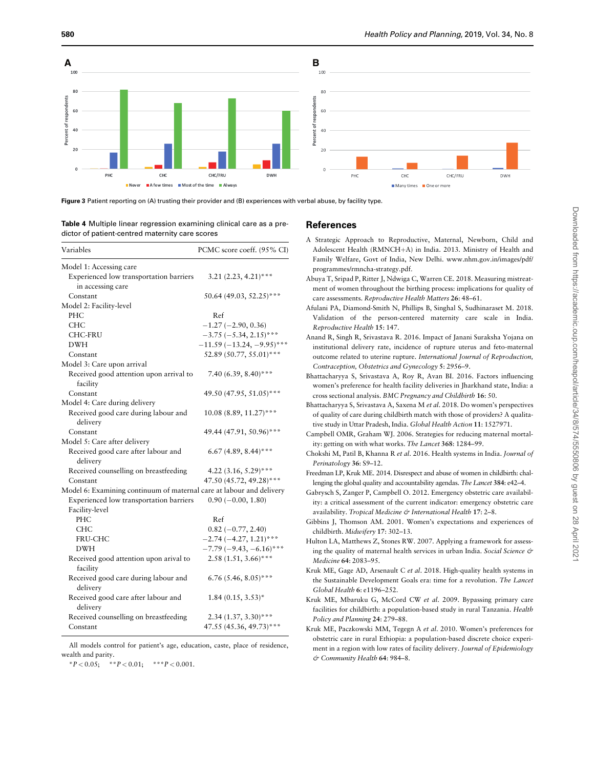<span id="page-6-0"></span>

Figure 3 Patient reporting on (A) trusting their provider and (B) experiences with verbal abuse, by facility type.

Table 4 Multiple linear regression examining clinical care as a predictor of patient-centred maternity care scores

| Variables                                                            | PCMC score coeff. (95% CI)   |
|----------------------------------------------------------------------|------------------------------|
| Model 1: Accessing care                                              |                              |
| Experienced low transportation barriers<br>in accessing care         | $3.21 (2.23, 4.21)$ ***      |
| Constant                                                             | 50.64 (49.03, 52.25)***      |
| Model 2: Facility-level                                              |                              |
| PHC                                                                  | Ref                          |
| <b>CHC</b>                                                           | $-1.27(-2.90, 0.36)$         |
| <b>CHC-FRU</b>                                                       | $-3.75$ ( $-5.34$ , 2.15)*** |
| <b>DWH</b>                                                           | $-11.59(-13.24, -9.95)$ ***  |
| Constant                                                             | 52.89 (50.77, 55.01)***      |
| Model 3: Care upon arrival                                           |                              |
| Received good attention upon arrival to<br>facility                  | 7.40 (6.39, 8.40)***         |
| Constant                                                             | 49.50 (47.95, 51.05)***      |
| Model 4: Care during delivery                                        |                              |
| Received good care during labour and                                 | $10.08(8.89, 11.27)$ ***     |
| delivery                                                             |                              |
| Constant                                                             | 49.44 (47.91, 50.96)***      |
| Model 5: Care after delivery                                         |                              |
| Received good care after labour and                                  | 6.67 (4.89, 8.44)***         |
| delivery                                                             |                              |
| Received counselling on breastfeeding                                | 4.22 $(3.16, 5.29)$ ***      |
| Constant                                                             | 47.50 (45.72, 49.28)***      |
| Model 6: Examining continuum of maternal care at labour and delivery |                              |
| Experienced low transportation barriers                              | $0.90 (-0.00, 1.80)$         |
| Facility-level                                                       |                              |
| PHC                                                                  | Ref                          |
| <b>CHC</b>                                                           | $0.82 (-0.77, 2.40)$         |
| <b>FRU-CHC</b>                                                       | $-2.74(-4.27, 1.21)$ ***     |
| DWH                                                                  | $-7.79(-9.43, -6.16)$ ***    |
| Received good attention upon arival to                               | $2.58(1.51, 3.66)$ ***       |
| facility                                                             |                              |
| Received good care during labour and<br>delivery                     | 6.76 (5.46, 8.05)***         |
| Received good care after labour and<br>delivery                      | $1.84(0.15, 3.53)^*$         |
| Received counselling on breastfeeding                                | $2.34(1.37, 3.30)***$        |
| Constant                                                             | 47.55 (45.36, 49.73)***      |

All models control for patient's age, education, caste, place of residence, wealth and parity.

\*P < 0.05; \*\*P < 0.01; \*\*\*P < 0.001.

## References

- A Strategic Approach to Reproductive, Maternal, Newborn, Child and Adolescent Health (RMNCH+A) in India. 2013. Ministry of Health and Family Welfare, Govt of India, New Delhi. [www.nhm.gov.in/images/pdf/](http://www.nhm.gov.in/images/pdf/programmes/rmncha-strategy.pdf) [programmes/rmncha-strategy.pdf.](http://www.nhm.gov.in/images/pdf/programmes/rmncha-strategy.pdf)
- Abuya T, Sripad P, Ritter J, Ndwiga C, Warren CE. 2018. Measuring mistreatment of women throughout the birthing process: implications for quality of care assessments. Reproductive Health Matters 26: 48–61.
- Afulani PA, Diamond-Smith N, Phillips B, Singhal S, Sudhinaraset M. 2018. Validation of the person-centered maternity care scale in India. Reproductive Health 15: 147.
- Anand R, Singh R, Srivastava R. 2016. Impact of Janani Suraksha Yojana on institutional delivery rate, incidence of rupture uterus and feto-maternal outcome related to uterine rupture. International Journal of Reproduction, Contraception, Obstetrics and Gynecology 5: 2956–9.
- Bhattacharyya S, Srivastava A, Roy R, Avan BI. 2016. Factors influencing women's preference for health facility deliveries in Jharkhand state, India: a cross sectional analysis. BMC Pregnancy and Childbirth 16: 50.
- Bhattacharyya S, Srivastava A, Saxena M et al. 2018. Do women's perspectives of quality of care during childbirth match with those of providers? A qualitative study in Uttar Pradesh, India. Global Health Action 11: 1527971.
- Campbell OMR, Graham WJ. 2006. Strategies for reducing maternal mortality: getting on with what works. The Lancet 368: 1284–99.
- Chokshi M, Patil B, Khanna R et al. 2016. Health systems in India. Journal of Perinatology 36: S9–12.
- Freedman LP, Kruk ME. 2014. Disrespect and abuse of women in childbirth: challenging the global quality and accountability agendas. The Lancet 384: e42–4.
- Gabrysch S, Zanger P, Campbell O. 2012. Emergency obstetric care availability: a critical assessment of the current indicator: emergency obstetric care availability. Tropical Medicine & International Health 17: 2-8.
- Gibbins J, Thomson AM. 2001. Women's expectations and experiences of childbirth. Midwifery 17: 302–13.
- Hulton LA, Matthews Z, Stones RW. 2007. Applying a framework for assessing the quality of maternal health services in urban India. Social Science & Medicine 64: 2083–95.
- Kruk ME, Gage AD, Arsenault C et al. 2018. High-quality health systems in the Sustainable Development Goals era: time for a revolution. The Lancet Global Health 6: e1196–252.
- Kruk ME, Mbaruku G, McCord CW et al. 2009. Bypassing primary care facilities for childbirth: a population-based study in rural Tanzania. Health Policy and Planning 24: 279–88.
- Kruk ME, Paczkowski MM, Tegegn A et al. 2010. Women's preferences for obstetric care in rural Ethiopia: a population-based discrete choice experiment in a region with low rates of facility delivery. Journal of Epidemiology & Community Health 64: 984–8.